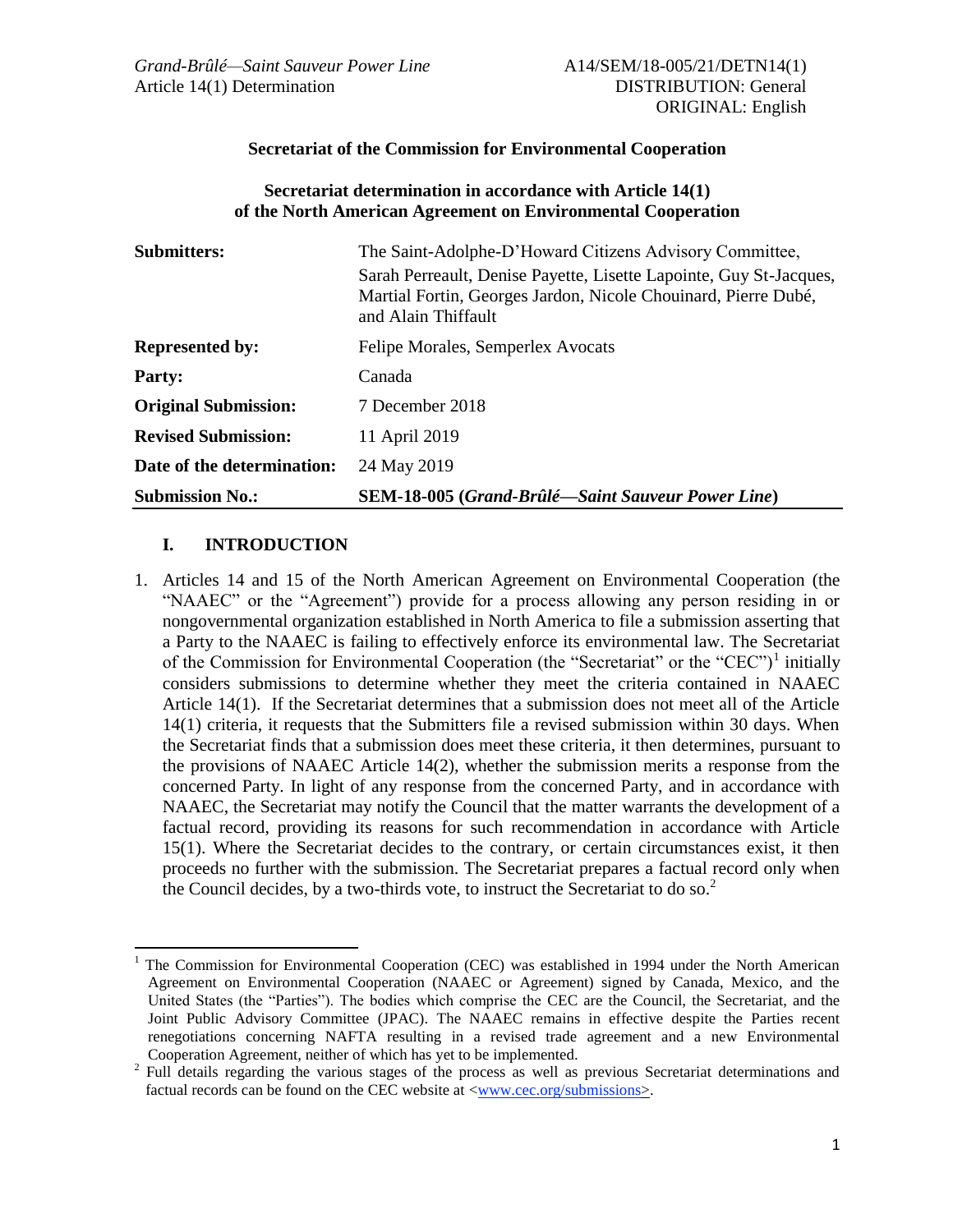### **Secretariat of the Commission for Environmental Cooperation**

### **Secretariat determination in accordance with Article 14(1) of the North American Agreement on Environmental Cooperation**

| <b>Submitters:</b>          | The Saint-Adolphe-D'Howard Citizens Advisory Committee,                                                                                                     |
|-----------------------------|-------------------------------------------------------------------------------------------------------------------------------------------------------------|
|                             | Sarah Perreault, Denise Payette, Lisette Lapointe, Guy St-Jacques,<br>Martial Fortin, Georges Jardon, Nicole Chouinard, Pierre Dubé,<br>and Alain Thiffault |
| <b>Represented by:</b>      | Felipe Morales, Semperlex Avocats                                                                                                                           |
| <b>Party:</b>               | Canada                                                                                                                                                      |
| <b>Original Submission:</b> | 7 December 2018                                                                                                                                             |
| <b>Revised Submission:</b>  | 11 April 2019                                                                                                                                               |
| Date of the determination:  | 24 May 2019                                                                                                                                                 |
| <b>Submission No.:</b>      | <b>SEM-18-005 (Grand-Brûlé—Saint Sauveur Power Line)</b>                                                                                                    |

# **I. INTRODUCTION**

 $\overline{a}$ 

1. Articles 14 and 15 of the North American Agreement on Environmental Cooperation (the "NAAEC" or the "Agreement") provide for a process allowing any person residing in or nongovernmental organization established in North America to file a submission asserting that a Party to the NAAEC is failing to effectively enforce its environmental law. The Secretariat of the Commission for Environmental Cooperation (the "Secretariat" or the "CEC")<sup>1</sup> initially considers submissions to determine whether they meet the criteria contained in NAAEC Article 14(1). If the Secretariat determines that a submission does not meet all of the Article 14(1) criteria, it requests that the Submitters file a revised submission within 30 days. When the Secretariat finds that a submission does meet these criteria, it then determines, pursuant to the provisions of NAAEC Article 14(2), whether the submission merits a response from the concerned Party. In light of any response from the concerned Party, and in accordance with NAAEC, the Secretariat may notify the Council that the matter warrants the development of a factual record, providing its reasons for such recommendation in accordance with Article 15(1). Where the Secretariat decides to the contrary, or certain circumstances exist, it then proceeds no further with the submission. The Secretariat prepares a factual record only when the Council decides, by a two-thirds vote, to instruct the Secretariat to do so.<sup>2</sup>

<sup>1</sup> The Commission for Environmental Cooperation (CEC) was established in 1994 under the North American Agreement on Environmental Cooperation (NAAEC or Agreement) signed by Canada, Mexico, and the United States (the "Parties"). The bodies which comprise the CEC are the Council, the Secretariat, and the Joint Public Advisory Committee (JPAC). The NAAEC remains in effective despite the Parties recent renegotiations concerning NAFTA resulting in a revised trade agreement and a new Environmental Cooperation Agreement, neither of which has yet to be implemented.

<sup>2</sup> Full details regarding the various stages of the process as well as previous Secretariat determinations and factual records can be found on the CEC website at  $\langle$ www.cec.org/submissions>.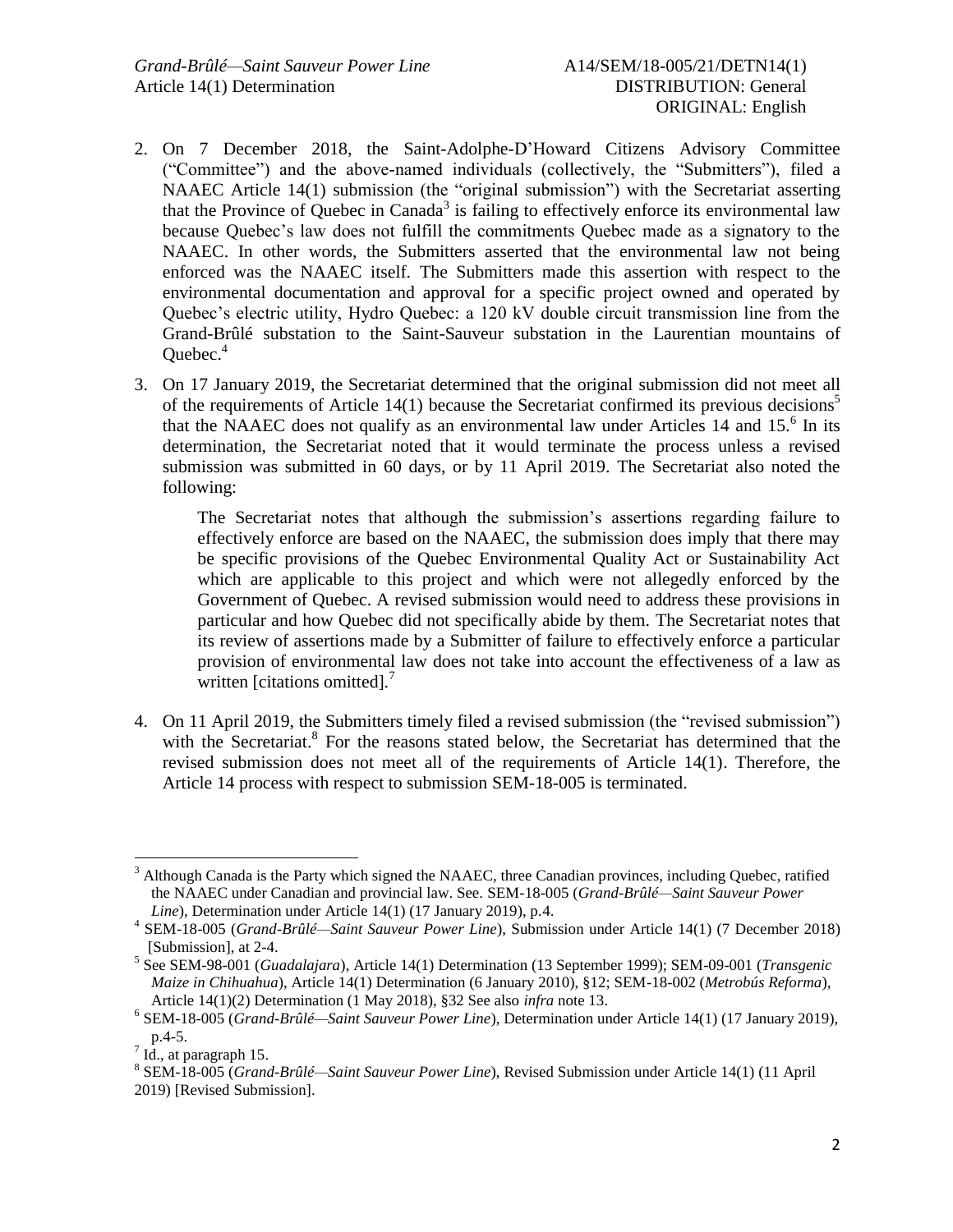- 2. On 7 December 2018, the Saint-Adolphe-D'Howard Citizens Advisory Committee ("Committee") and the above-named individuals (collectively, the "Submitters"), filed a NAAEC Article 14(1) submission (the "original submission") with the Secretariat asserting that the Province of Quebec in Canada<sup>3</sup> is failing to effectively enforce its environmental law because Quebec's law does not fulfill the commitments Quebec made as a signatory to the NAAEC. In other words, the Submitters asserted that the environmental law not being enforced was the NAAEC itself. The Submitters made this assertion with respect to the environmental documentation and approval for a specific project owned and operated by Quebec's electric utility, Hydro Quebec: a 120 kV double circuit transmission line from the Grand-Brûlé substation to the Saint-Sauveur substation in the Laurentian mountains of Quebec. 4
- 3. On 17 January 2019, the Secretariat determined that the original submission did not meet all of the requirements of Article  $14(1)$  because the Secretariat confirmed its previous decisions<sup>5</sup> that the NAAEC does not qualify as an environmental law under Articles 14 and 15. $<sup>6</sup>$  In its</sup> determination, the Secretariat noted that it would terminate the process unless a revised submission was submitted in 60 days, or by 11 April 2019. The Secretariat also noted the following:

The Secretariat notes that although the submission's assertions regarding failure to effectively enforce are based on the NAAEC, the submission does imply that there may be specific provisions of the Quebec Environmental Quality Act or Sustainability Act which are applicable to this project and which were not allegedly enforced by the Government of Quebec. A revised submission would need to address these provisions in particular and how Quebec did not specifically abide by them. The Secretariat notes that its review of assertions made by a Submitter of failure to effectively enforce a particular provision of environmental law does not take into account the effectiveness of a law as written [citations omitted].<sup>7</sup>

4. On 11 April 2019, the Submitters timely filed a revised submission (the "revised submission") with the Secretariat.<sup>8</sup> For the reasons stated below, the Secretariat has determined that the revised submission does not meet all of the requirements of Article 14(1). Therefore, the Article 14 process with respect to submission SEM-18-005 is terminated.

 $\overline{a}$ 

 $3$  Although Canada is the Party which signed the NAAEC, three Canadian provinces, including Quebec, ratified the NAAEC under Canadian and provincial law. See. SEM-18-005 (*Grand-Brûlé—Saint Sauveur Power Line*), Determination under Article 14(1) (17 January 2019), p.4.

<sup>4</sup> SEM-18-005 (*Grand-Brûlé—Saint Sauveur Power Line*), Submission under Article 14(1) (7 December 2018) [Submission], at 2-4.

<sup>5</sup> See SEM-98-001 (*Guadalajara*), Article 14(1) Determination (13 September 1999); SEM-09-001 (*Transgenic Maize in Chihuahua*), Article 14(1) Determination (6 January 2010), §12; SEM-18-002 (*Metrobús Reforma*), Article 14(1)(2) Determination (1 May 2018), §32 See also *infra* note 13.

<sup>6</sup> SEM-18-005 (*Grand-Brûlé—Saint Sauveur Power Line*), Determination under Article 14(1) (17 January 2019), p.4-5.

 $^7$  Id., at paragraph 15.

<sup>8</sup> SEM-18-005 (*Grand-Brûlé—Saint Sauveur Power Line*), Revised Submission under Article 14(1) (11 April 2019) [Revised Submission].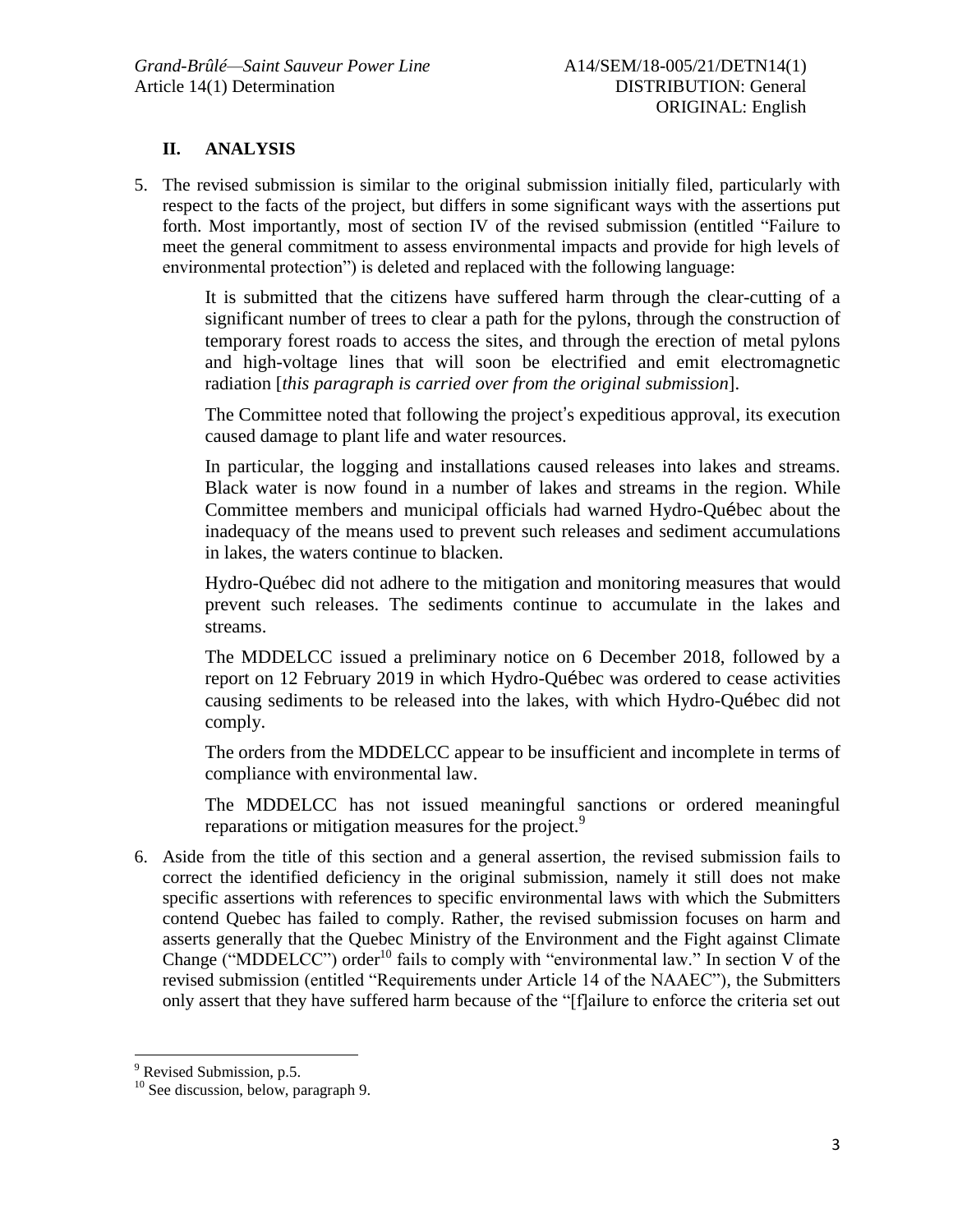# **II. ANALYSIS**

5. The revised submission is similar to the original submission initially filed, particularly with respect to the facts of the project, but differs in some significant ways with the assertions put forth. Most importantly, most of section IV of the revised submission (entitled "Failure to meet the general commitment to assess environmental impacts and provide for high levels of environmental protection") is deleted and replaced with the following language:

It is submitted that the citizens have suffered harm through the clear-cutting of a significant number of trees to clear a path for the pylons, through the construction of temporary forest roads to access the sites, and through the erection of metal pylons and high-voltage lines that will soon be electrified and emit electromagnetic radiation [*this paragraph is carried over from the original submission*].

The Committee noted that following the project's expeditious approval, its execution caused damage to plant life and water resources.

In particular, the logging and installations caused releases into lakes and streams. Black water is now found in a number of lakes and streams in the region. While Committee members and municipal officials had warned Hydro-Québec about the inadequacy of the means used to prevent such releases and sediment accumulations in lakes, the waters continue to blacken.

Hydro-Québec did not adhere to the mitigation and monitoring measures that would prevent such releases. The sediments continue to accumulate in the lakes and streams.

The MDDELCC issued a preliminary notice on 6 December 2018, followed by a report on 12 February 2019 in which Hydro-Québec was ordered to cease activities causing sediments to be released into the lakes, with which Hydro-Québec did not comply.

The orders from the MDDELCC appear to be insufficient and incomplete in terms of compliance with environmental law.

The MDDELCC has not issued meaningful sanctions or ordered meaningful reparations or mitigation measures for the project.<sup>9</sup>

6. Aside from the title of this section and a general assertion, the revised submission fails to correct the identified deficiency in the original submission, namely it still does not make specific assertions with references to specific environmental laws with which the Submitters contend Quebec has failed to comply. Rather, the revised submission focuses on harm and asserts generally that the Quebec Ministry of the Environment and the Fight against Climate Change ("MDDELCC") order<sup>10</sup> fails to comply with "environmental law." In section V of the revised submission (entitled "Requirements under Article 14 of the NAAEC"), the Submitters only assert that they have suffered harm because of the "[f]ailure to enforce the criteria set out

 $\overline{a}$ 

 $9$  Revised Submission, p.5.

<sup>&</sup>lt;sup>10</sup> See discussion, below, paragraph 9.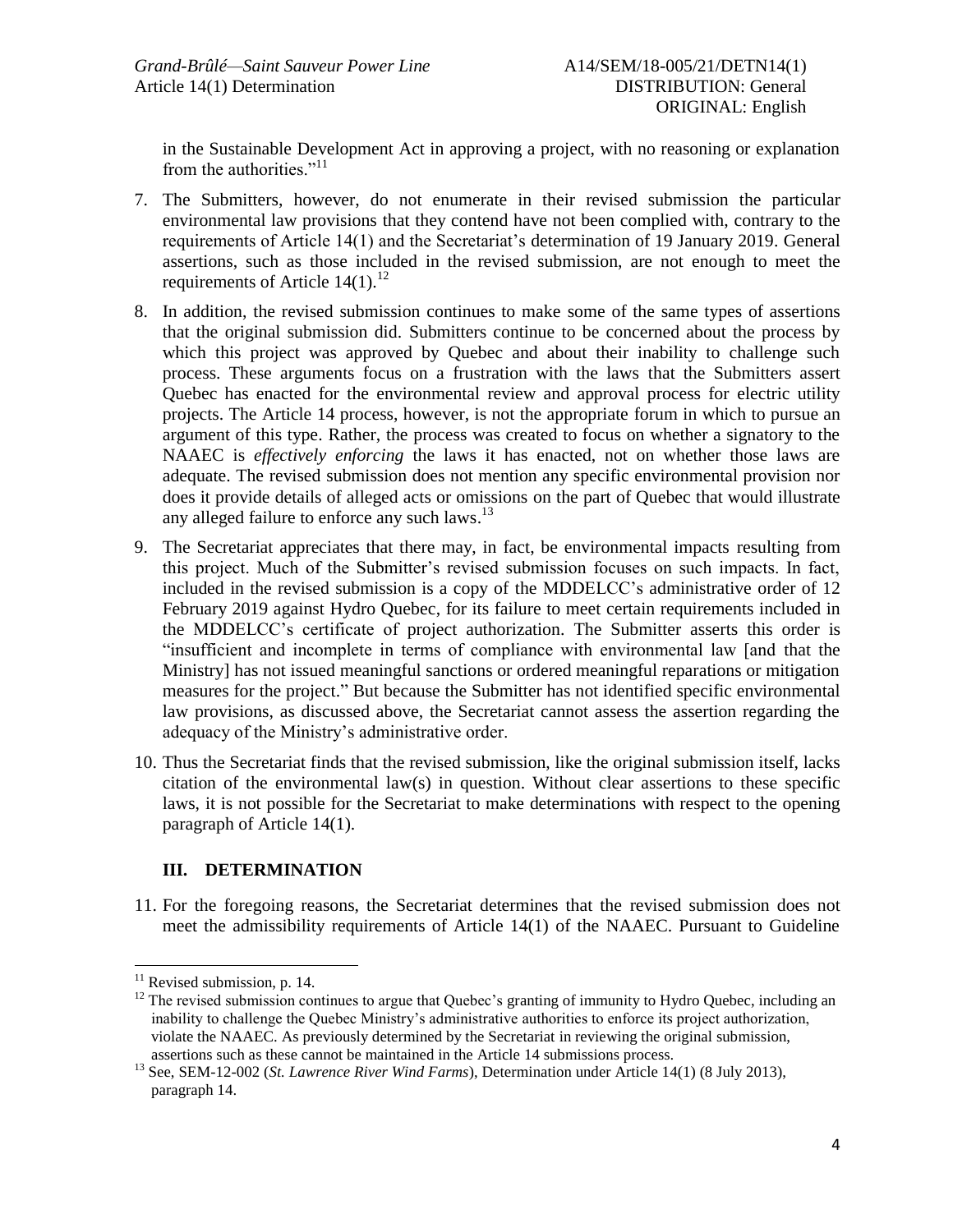in the Sustainable Development Act in approving a project, with no reasoning or explanation from the authorities."<sup>11</sup>

- 7. The Submitters, however, do not enumerate in their revised submission the particular environmental law provisions that they contend have not been complied with, contrary to the requirements of Article 14(1) and the Secretariat's determination of 19 January 2019. General assertions, such as those included in the revised submission, are not enough to meet the requirements of Article  $14(1)$ .<sup>12</sup>
- 8. In addition, the revised submission continues to make some of the same types of assertions that the original submission did. Submitters continue to be concerned about the process by which this project was approved by Quebec and about their inability to challenge such process. These arguments focus on a frustration with the laws that the Submitters assert Quebec has enacted for the environmental review and approval process for electric utility projects. The Article 14 process, however, is not the appropriate forum in which to pursue an argument of this type. Rather, the process was created to focus on whether a signatory to the NAAEC is *effectively enforcing* the laws it has enacted, not on whether those laws are adequate. The revised submission does not mention any specific environmental provision nor does it provide details of alleged acts or omissions on the part of Quebec that would illustrate any alleged failure to enforce any such laws.<sup>13</sup>
- 9. The Secretariat appreciates that there may, in fact, be environmental impacts resulting from this project. Much of the Submitter's revised submission focuses on such impacts. In fact, included in the revised submission is a copy of the MDDELCC's administrative order of 12 February 2019 against Hydro Quebec, for its failure to meet certain requirements included in the MDDELCC's certificate of project authorization. The Submitter asserts this order is "insufficient and incomplete in terms of compliance with environmental law [and that the Ministry] has not issued meaningful sanctions or ordered meaningful reparations or mitigation measures for the project." But because the Submitter has not identified specific environmental law provisions, as discussed above, the Secretariat cannot assess the assertion regarding the adequacy of the Ministry's administrative order.
- 10. Thus the Secretariat finds that the revised submission, like the original submission itself, lacks citation of the environmental law(s) in question. Without clear assertions to these specific laws, it is not possible for the Secretariat to make determinations with respect to the opening paragraph of Article 14(1).

# **III. DETERMINATION**

11. For the foregoing reasons, the Secretariat determines that the revised submission does not meet the admissibility requirements of Article 14(1) of the NAAEC. Pursuant to Guideline

 $\overline{a}$ 

 $11$  Revised submission, p. 14.

<sup>&</sup>lt;sup>12</sup> The revised submission continues to argue that Quebec's granting of immunity to Hydro Quebec, including an inability to challenge the Quebec Ministry's administrative authorities to enforce its project authorization, violate the NAAEC. As previously determined by the Secretariat in reviewing the original submission, assertions such as these cannot be maintained in the Article 14 submissions process.

<sup>13</sup> See, SEM-12-002 (*St. Lawrence River Wind Farms*), Determination under Article 14(1) (8 July 2013), paragraph 14.